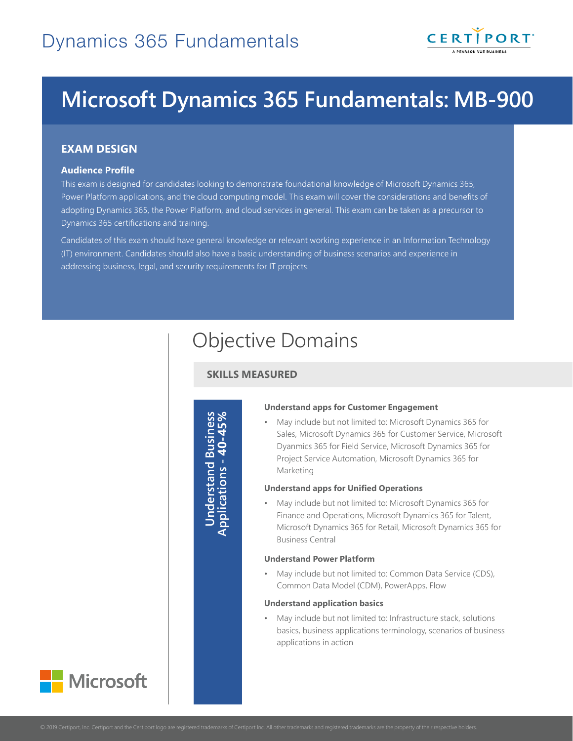

# **Microsoft Dynamics 365 Fundamentals: MB-900**

## **EXAM DESIGN**

#### **Audience Profile**

This exam is designed for candidates looking to demonstrate foundational knowledge of Microsoft Dynamics 365, Power Platform applications, and the cloud computing model. This exam will cover the considerations and benefits of adopting Dynamics 365, the Power Platform, and cloud services in general. This exam can be taken as a precursor to Dynamics 365 certifications and training.

Candidates of this exam should have general knowledge or relevant working experience in an Information Technology (IT) environment. Candidates should also have a basic understanding of business scenarios and experience in addressing business, legal, and security requirements for IT projects.

# Objective Domains

### **SKILLS MEASURED**

**Understand Business Applications - 40-45%**Understand Business<br>Applications - 40-45%

#### **Understand apps for Customer Engagement**

• May include but not limited to: Microsoft Dynamics 365 for Sales, Microsoft Dynamics 365 for Customer Service, Microsoft Dyanmics 365 for Field Service, Microsoft Dynamics 365 for Project Service Automation, Microsoft Dynamics 365 for Marketing

#### **Understand apps for Unified Operations**

• May include but not limited to: Microsoft Dynamics 365 for Finance and Operations, Microsoft Dynamics 365 for Talent, Microsoft Dynamics 365 for Retail, Microsoft Dynamics 365 for Business Central

#### **Understand Power Platform**

• May include but not limited to: Common Data Service (CDS), Common Data Model (CDM), PowerApps, Flow

#### **Understand application basics**

• May include but not limited to: Infrastructure stack, solutions basics, business applications terminology, scenarios of business applications in action